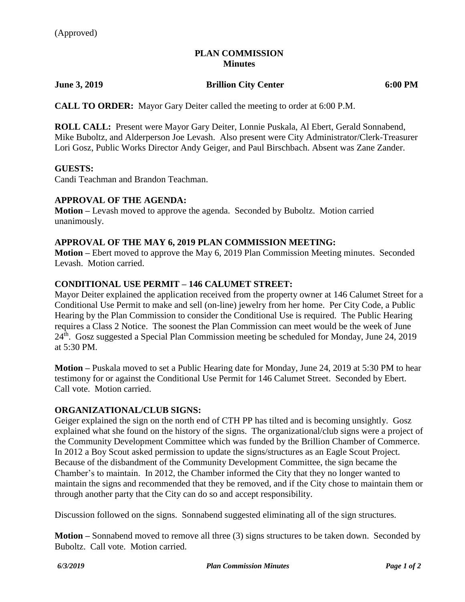# **PLAN COMMISSION Minutes**

### **June 3, 2019 Brillion City Center 6:00 PM**

**CALL TO ORDER:** Mayor Gary Deiter called the meeting to order at 6:00 P.M.

**ROLL CALL:** Present were Mayor Gary Deiter, Lonnie Puskala, Al Ebert, Gerald Sonnabend, Mike Buboltz, and Alderperson Joe Levash. Also present were City Administrator/Clerk-Treasurer Lori Gosz, Public Works Director Andy Geiger, and Paul Birschbach. Absent was Zane Zander.

### **GUESTS:**

Candi Teachman and Brandon Teachman.

# **APPROVAL OF THE AGENDA:**

**Motion –** Levash moved to approve the agenda. Seconded by Buboltz. Motion carried unanimously.

### **APPROVAL OF THE MAY 6, 2019 PLAN COMMISSION MEETING:**

**Motion –** Ebert moved to approve the May 6, 2019 Plan Commission Meeting minutes. Seconded Levash. Motion carried.

# **CONDITIONAL USE PERMIT – 146 CALUMET STREET:**

Mayor Deiter explained the application received from the property owner at 146 Calumet Street for a Conditional Use Permit to make and sell (on-line) jewelry from her home. Per City Code, a Public Hearing by the Plan Commission to consider the Conditional Use is required. The Public Hearing requires a Class 2 Notice. The soonest the Plan Commission can meet would be the week of June 24<sup>th</sup>. Gosz suggested a Special Plan Commission meeting be scheduled for Monday, June 24, 2019 at 5:30 PM.

**Motion –** Puskala moved to set a Public Hearing date for Monday, June 24, 2019 at 5:30 PM to hear testimony for or against the Conditional Use Permit for 146 Calumet Street. Seconded by Ebert. Call vote. Motion carried.

### **ORGANIZATIONAL/CLUB SIGNS:**

Geiger explained the sign on the north end of CTH PP has tilted and is becoming unsightly. Gosz explained what she found on the history of the signs. The organizational/club signs were a project of the Community Development Committee which was funded by the Brillion Chamber of Commerce. In 2012 a Boy Scout asked permission to update the signs/structures as an Eagle Scout Project. Because of the disbandment of the Community Development Committee, the sign became the Chamber's to maintain. In 2012, the Chamber informed the City that they no longer wanted to maintain the signs and recommended that they be removed, and if the City chose to maintain them or through another party that the City can do so and accept responsibility.

Discussion followed on the signs. Sonnabend suggested eliminating all of the sign structures.

**Motion –** Sonnabend moved to remove all three (3) signs structures to be taken down. Seconded by Buboltz. Call vote. Motion carried.